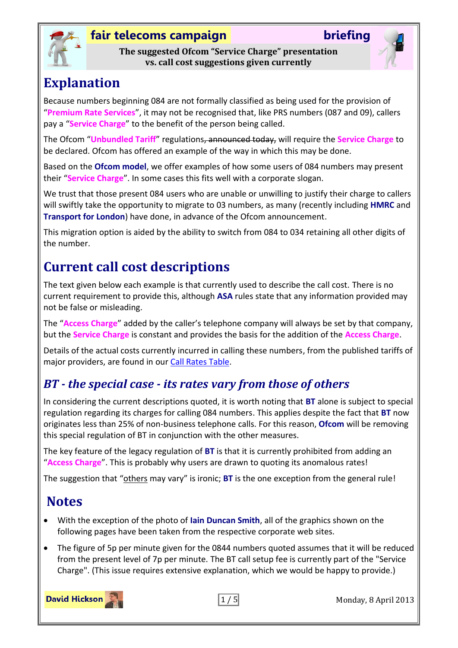

**The suggested Ofcom "Service Charge" presentation vs. call cost suggestions given currently**



# **Explanation**

Because numbers beginning 084 are not formally classified as being used for the provision of "**Premium Rate Services**", it may not be recognised that, like PRS numbers (087 and 09), callers pay a "**Service Charge**" to the benefit of the person being called.

The Ofcom "**Unbundled Tariff**" regulations, announced today, will require the **Service Charge** to be declared. Ofcom has offered an example of the way in which this may be done.

Based on the **Ofcom model**, we offer examples of how some users of 084 numbers may present their "**Service Charge**". In some cases this fits well with a corporate slogan.

We trust that those present 084 users who are unable or unwilling to justify their charge to callers will swiftly take the opportunity to migrate to 03 numbers, as many (recently including **HMRC** and **Transport for London**) have done, in advance of the Ofcom announcement.

This migration option is aided by the ability to switch from 084 to 034 retaining all other digits of the number.

# **Current call cost descriptions**

The text given below each example is that currently used to describe the call cost. There is no current requirement to provide this, although **ASA** rules state that any information provided may not be false or misleading.

The "**Access Charge**" added by the caller's telephone company will always be set by that company, but the **Service Charge** is constant and provides the basis for the addition of the **Access Charge**.

Details of the actual costs currently incurred in calling these numbers, from the published tariffs of major providers, are found in our [Call Rates Table.](http://www.fairtelecoms.org.uk/uploads/1/1/4/5/11456053/evidence-of-call-charges.pdf#page=2)

## *BT - the special case - its rates vary from those of others*

In considering the current descriptions quoted, it is worth noting that **BT** alone is subject to special regulation regarding its charges for calling 084 numbers. This applies despite the fact that **BT** now originates less than 25% of non-business telephone calls. For this reason, **Ofcom** will be removing this special regulation of BT in conjunction with the other measures.

The key feature of the legacy regulation of **BT** is that it is currently prohibited from adding an "**Access Charge**". This is probably why users are drawn to quoting its anomalous rates!

The suggestion that "others may vary" is ironic; **BT** is the one exception from the general rule!

# **Notes**

- With the exception of the photo of **Iain Duncan Smith**, all of the graphics shown on the following pages have been taken from the respective corporate web sites.
- The figure of 5p per minute given for the 0844 numbers quoted assumes that it will be reduced from the present level of 7p per minute. The BT call setup fee is currently part of the "Service Charge". (This issue requires extensive explanation, which we would be happy to provide.)

**David Hickson** 



1 / 5 Monday, 8 April 2013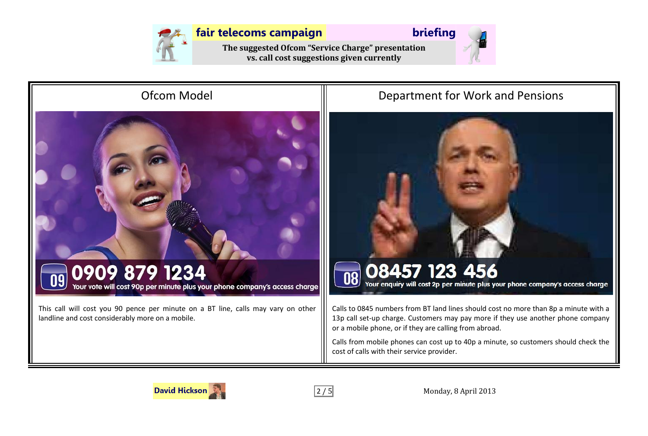

**The suggested Ofcom "Service Charge" presentation vs. call cost suggestions given currently**





## Ofcom Model **Department for Work and Pensions**



Calls to 0845 numbers from BT land lines should cost no more than 8p a minute with a 13p call set-up charge. Customers may pay more if they use another phone company or a mobile phone, or if they are calling from abroad.

Calls from mobile phones can cost up to 40p a minute, so customers should check the cost of calls with their service provider.



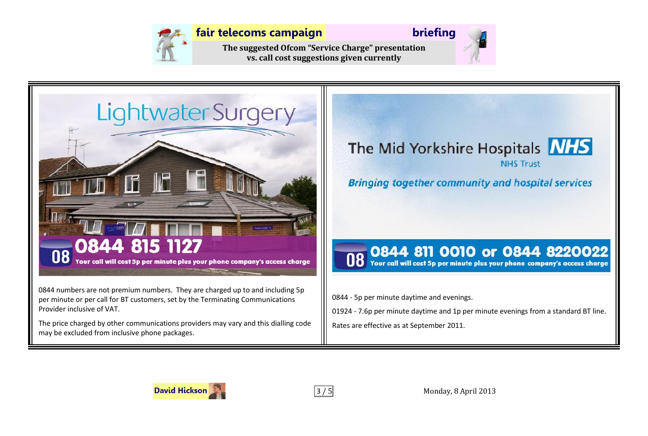

**The suggested Ofcom "Service Charge" presentation vs. call cost suggestions given currently**





0844 numbers are not premium numbers. They are charged up to and including 5p per minute or per call for BT customers, set by the Terminating Communications Provider inclusive of VAT.

The price charged by other communications providers may vary and this dialling code may be excluded from inclusive phone packages.



0844 - 5p per minute daytime and evenings.

01924 - 7.6p per minute daytime and 1p per minute evenings from a standard BT line. Rates are effective as at September 2011.



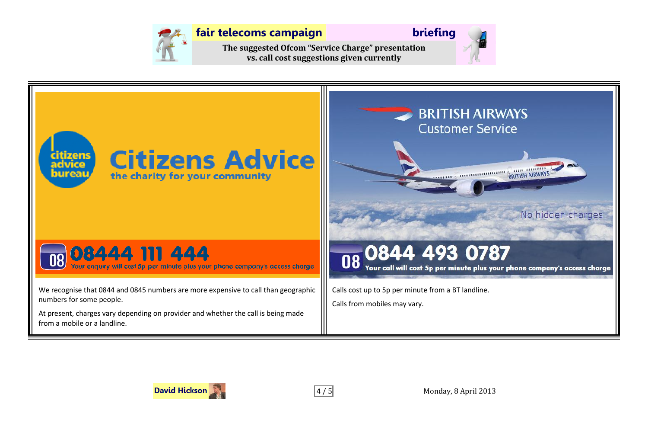

**The suggested Ofcom "Service Charge" presentation vs. call cost suggestions given currently**